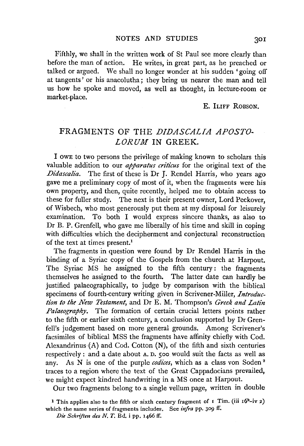Fifthly, we shall in the written work of St Paul see more clearly than before the man of action. He writes, in great part, as he preached or talked or argued. We shall no longer wonder at his sudden 'going off at tangents' or his anacolutha; they bring us nearer the man and tell us how he spoke and moved, as well as thought, in lecture-room or market-place.

E. ILIFF ROBSON.

## FRAGMENTS OF THE *DIDASCALIA APOSTO*-*LORUM* IN GREEK.

I OWE to two persons the privilege of making known to scholars this valuable addition to our *apparatus criticus* for the original text of the *Didascalia.* The first of these is Dr J. Rendel Harris, who years ago gave me a preliminary copy of most of it, when the fragments were his own property, and then, quite recently, helped me to obtain access to these for fuller study. The next is their present owner, Lord Peckover, of Wisbech, who most generously put them at my disposal for leisurely examination. To both I would express sincere thanks, as also to Dr B. P. Grenfell, who gave me liberally of his time and skill in coping with difficulties which the decipherment and conjectural reconstruction of the text at times present.<sup>1</sup>

The fragments in question were found by Dr Rendel Harris in the binding of a Syriac copy of the Gospels from the church at Harpout. The Syriac MS he assigned to the fifth century: the fragments themselves he assigned to the fourth. The latter date can hardly be justified palaeographically, to judge by comparison with the biblical specimens of fourth-century writing given in Scrivener-Miller, *Introduction to the New Testament,* and Dr E. M. Thompson's *Greek and Latin Palaeography.* The formation of certain crucial letters points rather to the fifth or earlier sixth century, a conclusion supported by Dr Grenfell's judgement based on more general grounds. Among Scrivener's facsimiles of biblical MSS the fragments have affinity chiefly with Cod. Alexandrinus  $(A)$  and Cod. Cotton  $(N)$ , of the fifth and sixth centuries respectively : and a date about A. D. soo would suit the facts as well as any. As N is one of the purple *codices,* which as a class von Soden 2 traces to a region where the text of the Great Cappadocians prevailed, we might expect kindred handwriting in a MS once at Harpout.

Our two fragments belong to a single vellum page, written in double

<sup>&</sup>lt;sup>1</sup> This applies also to the fifth or sixth century fragment of  $I$  Tim. (iii  $I6^b$ -iv 2) which the same series of fragments includes. See *infra* pp. 309 ff.

*Die Schriften des N. T. Bd.* i pp. 1466 ff.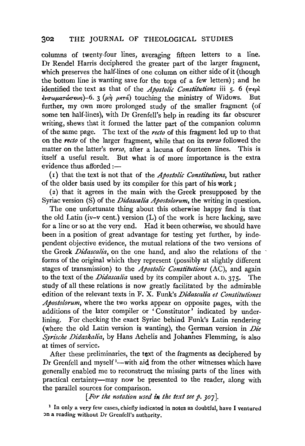## 302 THE JOURNAL OF THEOLOGICAL STUDIES

columns of twenty-four lines, averaging fifteen letters to a line. Dr Rendel Harris deciphered the greater part of the larger fragment, which preserves the half-lines of one column on either side of it (though the bottom line is wanting save for the tops of a few letters); and he identified the text as that of the *Apostolic Constitutions* iii 5. 6  $(\pi \epsilon \rho)$  $\epsilon$ νσωματώσεως)-6. 3 (μη μετά) touching the ministry of Widows. further, my own more prolonged study of the smaller fragment (of some ten half-lines), with Dr Grenfell's help in reading its far obscurer writing, shews that it formed the latter part of the companion column of the same page. The text of the *recto* of this fragment led up to that on the *recto* of the larger fragment, while that on its *verso* followed the matter on the latter's *verso,* after a lacuna of fourteen lines. This is itself a useful result. But what is of more importance is the extra evidence thus afforded :-

( r) that the text is not that of the *Apostolic Constitutions,* but rather of the older basis used by its compiler for this part of his work;

(2) that it agrees in the main with the Greek presupposed by the Syriac version (S) of the *Didascalia Apostolorum*, the writing in question.

The one unfortunate thing about this otherwise happy find is that the old Latin (iv-v cent.) version  $(L)$  of the work is here lacking, save for a line or so at the very end. Had it been otherwise, we should have been in a position of great advantage for testing yet further, by independent objective evidence, the mutual relations of the two versions of the Greek *Didascalia,* on the one hand, and also the relations of the forms of the original which they represent (possibly at slightly different stages of transmission) to the *Apostolic Constitutions* (AC), and again to the text of the *Didascalia* used by its compiler about A.D. 375. The study of all these relations is now greatly facilitated by the admirable edition of the relevant texts in F. X. Funk's *Didascalia et Constitutiones Apostolorum,* where the two works appear on opposite pages, with the additions of the later compiler or 'Constitutor' indicated by underlining. For checking the exact Syriac behind Funk's Latin rendering (where the old Latin version is wanting), the German version in *Die Syrische Didaskalia*, by Hans Achelis and Johannes Flemming, is also at times of service.

After these preliminaries, the text of the fragments as deciphered by Dr Grenfell and myself<sup>1</sup>—with aid from the other witnesses which have generally enabled me to reconstruct the missing parts of the lines with practical certainty-may now be presented to the reader, along with the parallel sources for comparison.

*[For the notation used in the text seep. 307].* 

1 In only a very few cases, chiefly indicated in notes as doubtful, have I ventured on a reading without Dr Grenfell's authority.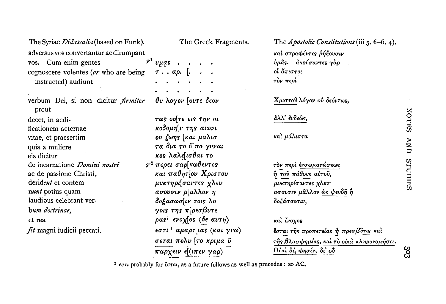| The Syriac Didascalia (based on Funk).              | The Greek Fragments.                  | The Apostolic Constitutions (iii $5.6-6.4$ ). |
|-----------------------------------------------------|---------------------------------------|-----------------------------------------------|
| adversus vos convertantur ac dirumpant              |                                       | και στραφέντες ρήξουσιν                       |
| vos. Cum enim gentes                                | $r^1$ vµas.                           | ύμας. ακούσαντες γάρ                          |
| cognoscere volentes (or who are being               | $\tau$ $\alpha\rho$ . [               | οί άπιστοι                                    |
| instructed) audiunt                                 |                                       | τον περί                                      |
|                                                     |                                       |                                               |
| verbum Dei, si non dicitur <i>firmiter</i><br>prout | θυ λογον [ουτε δεον                   | Χριστού λόγον ού δεόντως,                     |
| decet, in aedi-                                     | τως ου[τε εις την οι                  | άλλ' ένδεῶς,                                  |
| ficationem aeternae                                 | κοδομη[ν της αιωνι                    |                                               |
| vitae, et praesertim                                | ου ζωης [και μαλισ                    | καὶ μάλιστα                                   |
| quia a muliere                                      | τα δια το ΰ[πο γυναι                  |                                               |
| eis dicitur                                         | κος λαλε[ισθαι το                     |                                               |
| de incarnatione <i>Domini nostri</i>                | $\gamma^2$ περει σαρ[κωθεντος         | τον περι ένσωματώσεως                         |
| ac de passione Christi,                             | και παθητίου Χριστου                  | ή του πάθους αύτου,                           |
| derident et contem-                                 | μυκτηρι[σαντες χλευ                   | μυκτηρίσαντες χλευ-                           |
| nunt potius quam                                    | ασουσιν μ[αλλον η                     | ασουσιν μάλλον ώς ψευδή ή                     |
| laudibus celebrant ver-                             | δοξασωσ[ιν τοις λο                    | δοξάσουσιν,                                   |
| bum doctrinae,                                      | γοις της π[ρεσβυτε                    |                                               |
| et rea                                              | ρας· ενοχ[ος (δε αυτη)                | και ένοχος                                    |
| fit magni iudicii peccati.                          | εστι <sup>1</sup> αμαρτ[ιας (και γνω) | έσται της προπετείας ή πρεσβύτις και          |
|                                                     | σεται πολυ [το κριμα ϋ                | της βλασφημίας, και το ούαι κληρονομήσει.     |
|                                                     | παρχειν ε[(ιπεν γαρ)                  | Ούαι δέ, φησίν, δι' ού                        |

<sup>1</sup> εστι probably for έσται, as a future follows as well as precedes : so AC.

NOTES AND STUDIES

 $303$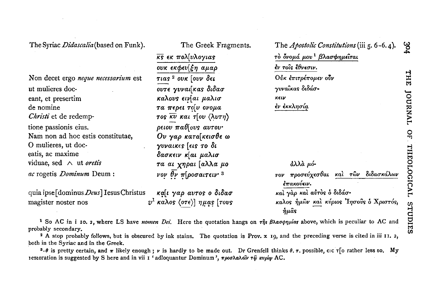The Syriac *Didascalia* (based on Funk).

Non decet ergo neque necessarium est ut mulieres doceant, et presertim de nomine Christi et de redemptione passionis eius. Nam non ad hoc estis constitutae. O mulieres, ut doceatis, ac maxime viduae, sed  $\wedge$  ut oretis ac rogetis Dominum Deum:

quia ipse [dominus Deus] Iesus Christus καίι γαρ αυτος ο διδασ  $v^1$  καλος (οτε)] ημας [τους magister noster nos

The Greek Fragments.  $\overline{KS}$   $\epsilon$   $\kappa$   $\pi$ o $\lambda$ [v $\lambda$ o $\gamma$ ιας ουκ εκφευ[ξη αμαρ τιας<sup>2</sup> ουκ [ουν δει ουτε γυναίκας διδασ καλους εινίαι μαλισ τα περει τοίν ονομα τος  $\overline{\kappa v}$  και τ[ου  $\langle \lambda v \tau \eta \rangle$  $\rho$ ειου παθίους αυτου· Ου γαρ κατα[κεισθε ω γυναικες [εις το δι δασκειν κίαι μαλισ τα αι χηραι [αλλα μο vov  $\theta$ v  $\pi$ [ροσαιτειν<sup>3</sup>

The Apostolic Constitutions (iii 5.6-6.4). τὸ ὄνομά μου<sup>1</sup> βλασφημεῖται έν τοΐς ἔθνεσιν. Ούκ έπιτρέπομεν ούν γυναίκας διδάσκειν έν έκκλησία

άλλά μόγον προσεύχεσθαι και των διδασκάλων  $\epsilon$ πακούειν. και γαρ και αυτός ο διδάσκαλος ήμων και κύριος Ίησους ο Χριστός, ήμας

<sup>1</sup> So AC in i 10. 2, where LS have nomen Dei. Here the quotation hangs on  $\tau \hat{\eta}$ s  $\beta \lambda \alpha \sigma \phi \eta \mu$  as above, which is peculiar to AC and probably secondary.

<sup>2</sup> A stop probably follows, but is obscured by ink stains. The quotation is Prov. x 19, and the preceding verse is cited in iii 11. 2, both in the Syriac and in the Greek.

<sup>3</sup>- $\theta$  is pretty certain, and  $\pi$  likely enough; v is hardly to be made out. Dr Grenfell thinks  $\theta$ ,  $\tau$ , possible,  $\epsilon$  ic  $\tau$  of rather less so. My restoration is suggested by S here and in vii 1' adloquantur Dominum',  $\pi \rho \sigma \partial \alpha \partial x \partial \partial \nu \tau \hat{\omega} \mu \nu \rho \hat{\omega}$  AC.

ಜ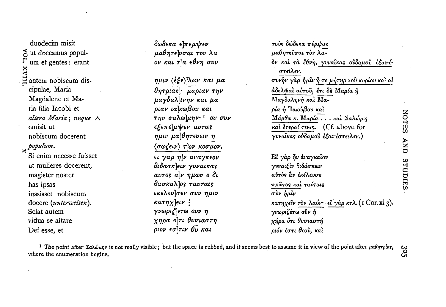duodecim misit vor. ut doceamus populum et gentes : erant **IINX** autem nobiscum discipulae, Maria Magdalene et Maria filia Iacobi et altera Maria; neque A emisit ut nobiscum docerent  $\frac{1}{2}$ populum. Si enim necesse fuisset ut mulieres docerent, magister noster has ipsas iussisset nobiscum docere (unterweisen). Sciat autem vidua se altare Dei esse, et

δωδεκα ελπεμψεν μαθητενσαι τον λα ον και τ'α εθνη συν

ημιν (έξε)λων και μα  $\theta$ ητριας  $\cdot$  μαριαν την μαγδαλλινην και μα ριαν ια κωβου και την σαλωλμην<sup>1</sup> ου συν εξεπελμψεν αυτας ημιν μα θητευειν η  $\langle \sigma \omega \zeta \epsilon \iota \nu \rangle$   $\tau$   $\vert \sigma \nu \rangle$  κοσμον. ει γαρ η ν αναγκεον διδασκλειν γυναικας avros alv ημων ο δι δασκαλλος ταυταις εκελευΊσεν συν ημιν  $k\alpha \tau \eta \chi$  eiv : γνωριζ ετω ουν η χηρα ο τι θυσιαστη  $ριον εσ<sup>1</sup>τιν  $\thetaν$  και$ 

τούς δώδεκα πέμψας μαθητεύσαι τον λαόν και τα έθνη, γυναίκας ούδαμού εξαπέστειλεν. συνην γαρ ήμιν ή τε μήτηρ του κυρίου και αί άδελφαί αύτου, έτι δε Μαρία ή Μαγδαληνή και Μαρία ή Ίακώβου και Μάρθα κ. Μαρία... και Σαλώμη καὶ ἔτεραί τινες. (Cf. above for γυναίκας ούδαμού εξαπέστειλεν.) Εί γάρ ήν άναγκαΐον γυναιξίν διδάσκειν αύτος άν εκέλευσε πρώτος και ταύταις  $\sigma \dot{v}$ ν ήμίν κατηχείν τον λαόν· εί γαρ κτλ. (1 Cor. xi 3). γνωριζέτω ούν ή χήρα ότι θυσιαστή ριόν έστι θεού, και

<sup>1</sup> The point after  $\Sigma a\lambda \omega \mu \eta \nu$  is not really visible; but the space is rubbed, and it seems best to assume it in view of the point after  $\mu a\theta \eta \tau \rho / a s$ , where the enumeration begins.

3o2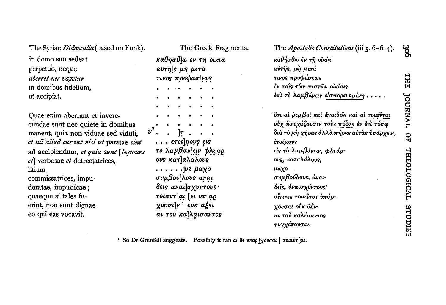The Syriac Didascalia (based on Funk).

in domo suo sedeat. perpetuo, neque aberret nec vagetur in domibus fidelium. ut accipiat.

Ouae enim aberrant et inverecundae sunt nec quiete in domibus manent, quia non viduae sed viduli, et nil aliud curant nisi ut paratae sint ad accipiendum, et quia sunt [loquaces et] verbosae et detrectatrices, litium commissatrices, impudoratae, impudicae; quaeque si tales fuerint, non sunt dignae eo qui eas vocavit.

The Greek Fragments. καθησθ ω εν τη οικια  $av\tau\eta$ *s*  $\mu\eta$   $\mu\epsilon\tau a$  $\pi\nu$ os  $\pi$ ooda $\sigma$ lews . ETOL LIOUS ELS το λαμβαν]ειν φλυαρ ous κατλαλαλούς  $\ldots$ .... $\log \mu a \chi o$ συμβουλους αναι δεις αναι]σχυντους· τοιαυτζαι [ει υπλαρ  $\chi$ ουσι $|\nu|^1$  ουκ αξει αι του καλαισαντος

| The Apostolic Constitutions (iii 5. 6-6. 4). |
|----------------------------------------------|
| καθήσθω ἐν τῆ οἰκίą.                         |
| αὐτῆς, μὴ μετά                               |
| τινος προφάσεως                              |
| έν ταΐς τῶν πιστῶν οἰκίαις                   |
| έπὶ τὸ λαμβάνειν εἰσπορευομένη               |
| ότι αι ρεμβοι και αναιδείς και αι τοιαυται   |
| ούχ ήσυχάζουσιν τούς πόδας έν ένι τόπω       |
| διὰ τὸ μὴ χήρας ἀλλὰ πήρας αὐτὰς ὑπάρχειν,   |
| έτοίμους                                     |
| είς τὸ λαμβάνειν, φλυάρ-                     |
| ους, καταλάλους,                             |
| μαχο                                         |
| συμβούλους, άναι-                            |
| δεΐς, άναισχύντους'                          |
| αἶτινες τοιαῢται ὑπάρ-                       |
| χουσαι οὐκ ἄξι-                              |
| αι τοῦ καλέσαντος                            |
| τυγχάνουσιν.                                 |

<sup>1</sup> So Dr Grenfell suggests. Possibly it ran at  $\delta \epsilon$  unap  $\chi$ ovoat | rotavr]at.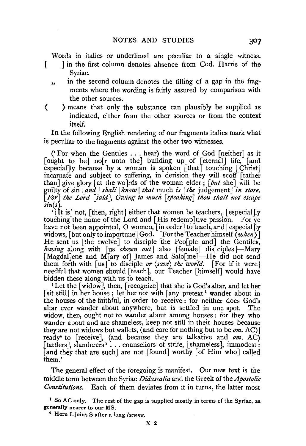Words in italics or underlined are peculiar to a single witness.

J in the first column denotes absence from Cod. Harris of the Syriac.

[

- " in the second column denotes the filling of a gap in the fragments where the wording is fairly assured by comparison with the other sources.
- ( ) means that only the substance can plausibly be supplied as indicated, either from the other sources or from the context itself.

In the following English rendering of our fragments italics mark what is peculiar to the fragments against the other two witnesses.

('For when the Gentiles ... hear) the word of God [neither] as it [ought to be] no[r unto the] building up of [eternal] life, [and especial]ly because by a woman is spoken  $\lceil \text{that} \rceil$  touching  $\lceil \text{Christ} \rceil$ incarnate and subject to suffering, in derision they will scoff [rather than] give glory at the wo rds of the woman elder;  $\lceil \frac{but}{} \text{ she} \rceil$  will be guilty of sin *[and] shall [know] that* much *is [the* judgement] *in store. [For] the Lord [said], Owing to much [.peaking] thou shalt not escape sin(s).* 

'[It is J not, [then, right] either that women be teachers, [ especial]ly touching the name of the Lord and [His redemp] tive passion. For ye have not been appointed, O women,  $\lceil$  in order] to teach, and  $\lceil$  especial  $\lceil$  ly widows, [but only to importune] God. [For the Teacher himself  $\langle when \rangle$ ] He sent us [the twelve] to disciple the Peo[ple and] the Gentiles, having along with [us *chosen out*] also [female] dis[ciples]-Mary [Magdal]ene and M[ary of] James and Salo[me]—He did not send them forth with [us] to disciple *or (save) the world.* [For if it were] needful that women should [teach], our Teacher [himself] would have bidden these along with us to teach.

'Let the [widow], then, [recognize] that she is God's altar, and let her [sit still] in her house; let her not with  $\lceil \text{any} \rceil$  retext<sup>1</sup> wander about in the houses of the faithful, in order to receive : for neither does God's altar ever wander about anywhere, but is settled in one spot. The widow, then, ought not to wander about among houses : for they who wander about and are shameless, keep not still in their houses because they are not widows but wallets, (and care for nothing but to be *om*. AC)] ready<sup>\*</sup> to [receive], (and because they are talkative and *om*. AC) [tattlers], slanderers<sup>2</sup>... counsellors of strife, [shameless], immodest: [and they that are such] are not [found] worthy [of Him who] called them.'

The general effect of the foregoing is manifest. Our new text is the middle term between the Syriac *Didascalia* and the Greek of the *Apostolic Constitutions.* Each of them deviates from it in turns, the latter most

<sup>1</sup> So AC only. The rest of the gap is supplied mostly in terms of the Syriac, as generally nearer to our MS. 2 Here L joins S after a long *lacuna.*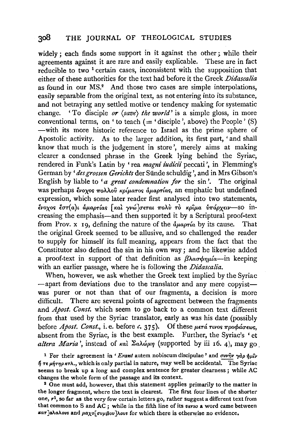widely ; each finds some support in it against the other; while their agreements against it are rare and easily explicable. These are in fact reducible to two <sup>1</sup> certain cases, inconsistent with the supposition that either of these authorities for the text had before it the Greek *Didascalia*  as found in our MS.<sup>2</sup> And those two cases are simple interpolations, easily separable from the original text, as not entering into its substance, and not betraying any settled motive or tendency making for systematic change. 'To disciple *or (save) the world'* is a simple gloss, in more conventional terms, on ' to teach  $($  = 'disciple', above) the People' (S) -with its more historic reference to Israel as the prime sphere of Apostolic activity. As to the larger addition, its first part, 'and shall know that much is the judgement in store', merely aims at making clearer a condensed phrase in the Greek lying behind the Syriac, rendered in Funk's Latin by ' rea *magni iudicii* peccati ', in Flemming's German by 'des grossen Gerichts der Sünde schuldig', and in Mrs Gibson's English by liable to '*a great condemnation for* the sin'. The original was perhaps ένοχος πολλού κρίματος άμαρτίας, an emphatic but undefined expression, which some later reader first analysed into two statements,  $\epsilon$ νοχος έστ(α)ι αμαρτίας [και γνώ]σεται πολύ τὸ κριμα υπάρχειν-SO increasing the emphasis-and then supported it by a Scriptural proof-text from Prov. x 19, defining the nature of the  $\partial \mu_{\alpha}$  a by its cause. That the original Greek seemed to be allusive, and so challenged the reader to supply for himself its full meaning, appears from the fact that the Constitutor also defined the sin in his own way; and he likewise added a proof-text in support of that definition as  $\beta \lambda \alpha \sigma \phi n \mu \alpha$ -in keeping. with an earlier passage, where he is following the *Didascalia.* 

When, however, we ask whether the Greek text implied by the Syriac -apart from deviations due to the translator and any mere copyistwas purer or not than that of our fragments, a decision is more difficult. There are several points of agreement between the fragments and *Apost. Const.* which seem to go back to a common text different from that used by the Syriac translator, early as was his date (possibly before *Apost. Const.*, *i.e.* before *c.* 375). Of these μετά τινος προφάσεως, absent from the Syriac, is the best example. Further, the Syriac's 'et altera Maria', instead of *Kal*  $\Sigma$ a $\lambda \omega \mu \eta$  (supported by iii 16. 4), may go.

<sup>1</sup> For their agreement in '*Erant* autem nobiscum discipulae' and  $\sigma v \nu \hat{\eta} \nu \gamma d\rho \hat{\eta} \mu \hat{\nu} \nu$  $\eta$   $\tau \epsilon$   $\mu \eta \tau \eta \rho \kappa \tau \lambda$ ., which is only partial in nature, may well be accidental. The Syriac seems to break up a long and complex sentence for greater clearness ; while AC changes the whole form of the passage and its context.<br><sup>2</sup> One must add, however, that this statement applies primarily to the matter in

the longer fragment, where the text is clearest. The first four lines of the shorter one,  $r<sup>1</sup>$ , so far as the very few certain letters go, rather suggest a different text from that common to S and AC ; while in the fifth line of its *verso* a word came between  $\kappa a\tau$ ]alalovs and  $\mu a\chi$ o[ $\sigma \nu \mu \beta o\nu$ ]lovs for which there is otherwise no evidence.